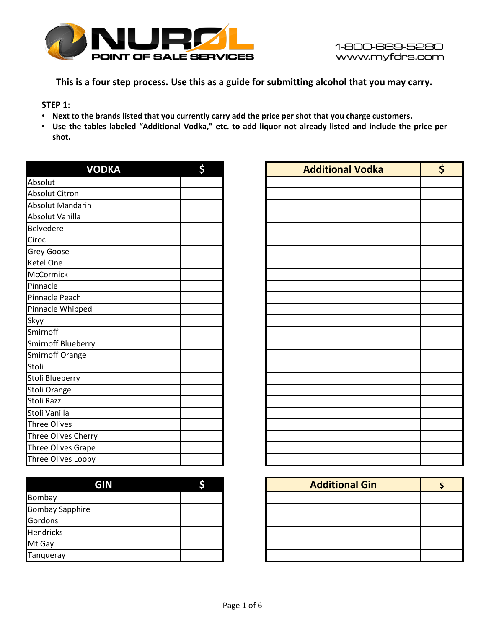

**This is a four step process. Use this as a guide for submitting alcohol that you may carry.** 

**STEP 1:**

- . Next to the brands listed that you currently carry add the price per shot that you charge customers.
- Use the tables labeled "Additional Vodka," etc. to add liquor not already listed and include the price per **shot.**

| <b>VODKA</b>               | \$ |
|----------------------------|----|
| Absolut                    |    |
| Absolut Citron             |    |
| <b>Absolut Mandarin</b>    |    |
| Absolut Vanilla            |    |
| <b>Belvedere</b>           |    |
| Ciroc                      |    |
| <b>Grey Goose</b>          |    |
| Ketel One                  |    |
| McCormick                  |    |
| Pinnacle                   |    |
| Pinnacle Peach             |    |
| Pinnacle Whipped           |    |
| Skyy                       |    |
| Smirnoff                   |    |
| Smirnoff Blueberry         |    |
| Smirnoff Orange            |    |
| Stoli                      |    |
| Stoli Blueberry            |    |
| Stoli Orange               |    |
| Stoli Razz                 |    |
| Stoli Vanilla              |    |
| <b>Three Olives</b>        |    |
| <b>Three Olives Cherry</b> |    |
| Three Olives Grape         |    |
| Three Olives Loopy         |    |

| GIN                    |  |
|------------------------|--|
| Bombay                 |  |
| <b>Bombay Sapphire</b> |  |
| Gordons                |  |
| <b>Hendricks</b>       |  |
| Mt Gay                 |  |
| Tanqueray              |  |

| <b>VODKA</b>            | \$ | <b>Additional Vodka</b> | \$ |
|-------------------------|----|-------------------------|----|
|                         |    |                         |    |
|                         |    |                         |    |
| n                       |    |                         |    |
|                         |    |                         |    |
|                         |    |                         |    |
|                         |    |                         |    |
|                         |    |                         |    |
|                         |    |                         |    |
|                         |    |                         |    |
|                         |    |                         |    |
|                         |    |                         |    |
| $\overline{\mathsf{d}}$ |    |                         |    |
|                         |    |                         |    |
|                         |    |                         |    |
| ry                      |    |                         |    |
|                         |    |                         |    |
|                         |    |                         |    |
|                         |    |                         |    |
|                         |    |                         |    |
|                         |    |                         |    |
|                         |    |                         |    |
|                         |    |                         |    |
| <u>rry</u>              |    |                         |    |
| pe                      |    |                         |    |
| ру                      |    |                         |    |

| GIN |  | <b>Additional Gin</b> |  |
|-----|--|-----------------------|--|
|     |  |                       |  |
|     |  |                       |  |
|     |  |                       |  |
|     |  |                       |  |
|     |  |                       |  |
|     |  |                       |  |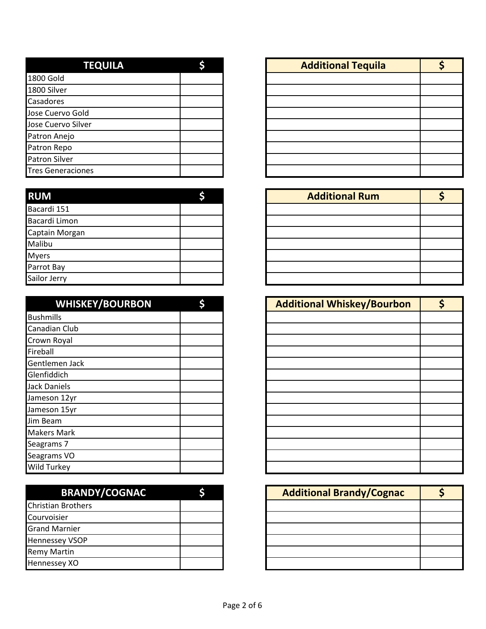| <b>TEQUILA</b>           |  |
|--------------------------|--|
| <b>1800 Gold</b>         |  |
| 1800 Silver              |  |
| Casadores                |  |
| Jose Cuervo Gold         |  |
| Jose Cuervo Silver       |  |
| Patron Anejo             |  |
| Patron Repo              |  |
| <b>Patron Silver</b>     |  |
| <b>Tres Generaciones</b> |  |

| <b>RUM</b>     |  | <b>Additional Rum</b> |  |
|----------------|--|-----------------------|--|
| Bacardi 151    |  |                       |  |
| Bacardi Limon  |  |                       |  |
| Captain Morgan |  |                       |  |
| Malibu         |  |                       |  |
| <b>Myers</b>   |  |                       |  |
| Parrot Bay     |  |                       |  |
| Sailor Jerry   |  |                       |  |

| <b>WHISKEY/BOURBON</b> |  |
|------------------------|--|
| <b>Bushmills</b>       |  |
| Canadian Club          |  |
| Crown Royal            |  |
| Fireball               |  |
| Gentlemen Jack         |  |
| Glenfiddich            |  |
| <b>Jack Daniels</b>    |  |
| Jameson 12yr           |  |
| Jameson 15yr           |  |
| Jim Beam               |  |
| <b>Makers Mark</b>     |  |
| Seagrams 7             |  |
| Seagrams VO            |  |
| Wild Turkey            |  |

| <b>BRANDY/COGNAC</b>      |  |
|---------------------------|--|
| <b>Christian Brothers</b> |  |
| Courvoisier               |  |
| <b>Grand Marnier</b>      |  |
| <b>Hennessey VSOP</b>     |  |
| <b>Remy Martin</b>        |  |
| Hennessey XO              |  |

| <b>TEQUILA</b> |  | <b>Additional Tequila</b> |  |
|----------------|--|---------------------------|--|
|                |  |                           |  |
|                |  |                           |  |
|                |  |                           |  |
| d              |  |                           |  |
| er             |  |                           |  |
|                |  |                           |  |
|                |  |                           |  |
|                |  |                           |  |
| າes            |  |                           |  |

| <b>Additional Rum</b> |  |
|-----------------------|--|
|                       |  |
|                       |  |
|                       |  |
|                       |  |
|                       |  |
|                       |  |
|                       |  |

| <b>WHISKEY/BOURBON</b> | \$ |
|------------------------|----|
|                        |    |
| n Club                 |    |
| oyal                   |    |
|                        |    |
| en Jack                |    |
| lich                   |    |
| <b>niels</b>           |    |
| า 12yr                 |    |
| า 15yr                 |    |
| m                      |    |
| Mark                   |    |
| าร 7                   |    |
| าร VO                  |    |
| rkey                   |    |

| <b>BRANDY/COGNAC</b> |  | <b>Additional Brandy/Cognac</b> |  |
|----------------------|--|---------------------------------|--|
| <b>Brothers</b>      |  |                                 |  |
| er                   |  |                                 |  |
| arnier               |  |                                 |  |
| y VSOP               |  |                                 |  |
| rtin                 |  |                                 |  |
| y XO                 |  |                                 |  |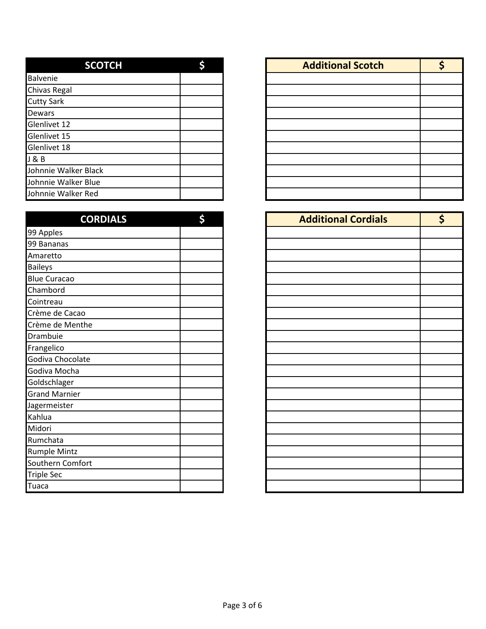| <b>SCOTCH</b>        |  |
|----------------------|--|
| <b>Balvenie</b>      |  |
| Chivas Regal         |  |
| <b>Cutty Sark</b>    |  |
| <b>Dewars</b>        |  |
| Glenlivet 12         |  |
| Glenlivet 15         |  |
| Glenlivet 18         |  |
| J & B                |  |
| Johnnie Walker Black |  |
| Johnnie Walker Blue  |  |
| Johnnie Walker Red   |  |

| <b>CORDIALS</b>      |  |
|----------------------|--|
| 99 Apples            |  |
| 99 Bananas           |  |
| Amaretto             |  |
| <b>Baileys</b>       |  |
| <b>Blue Curacao</b>  |  |
| Chambord             |  |
| Cointreau            |  |
| Crème de Cacao       |  |
| Crème de Menthe      |  |
| Drambuie             |  |
| Frangelico           |  |
| Godiva Chocolate     |  |
| Godiva Mocha         |  |
| Goldschlager         |  |
| <b>Grand Marnier</b> |  |
| Jagermeister         |  |
| Kahlua               |  |
| Midori               |  |
| Rumchata             |  |
| <b>Rumple Mintz</b>  |  |
| Southern Comfort     |  |
| Triple Sec           |  |
| Tuaca                |  |

| <b>SCOTCH</b> | ċ | <b>Additional Scotch</b> |  |
|---------------|---|--------------------------|--|
|               |   |                          |  |
|               |   |                          |  |
|               |   |                          |  |
|               |   |                          |  |
|               |   |                          |  |
|               |   |                          |  |
|               |   |                          |  |
|               |   |                          |  |
| Black         |   |                          |  |
| Blue          |   |                          |  |
| Red           |   |                          |  |

| <b>CORDIALS</b> | \$ | <b>Additional Cordials</b> | \$ |
|-----------------|----|----------------------------|----|
|                 |    |                            |    |
|                 |    |                            |    |
|                 |    |                            |    |
|                 |    |                            |    |
|                 |    |                            |    |
|                 |    |                            |    |
|                 |    |                            |    |
| o               |    |                            |    |
| the             |    |                            |    |
|                 |    |                            |    |
|                 |    |                            |    |
| ate             |    |                            |    |
|                 |    |                            |    |
|                 |    |                            |    |
|                 |    |                            |    |
|                 |    |                            |    |
|                 |    |                            |    |
|                 |    |                            |    |
|                 |    |                            |    |
|                 |    |                            |    |
| fort            |    |                            |    |
|                 |    |                            |    |
|                 |    |                            |    |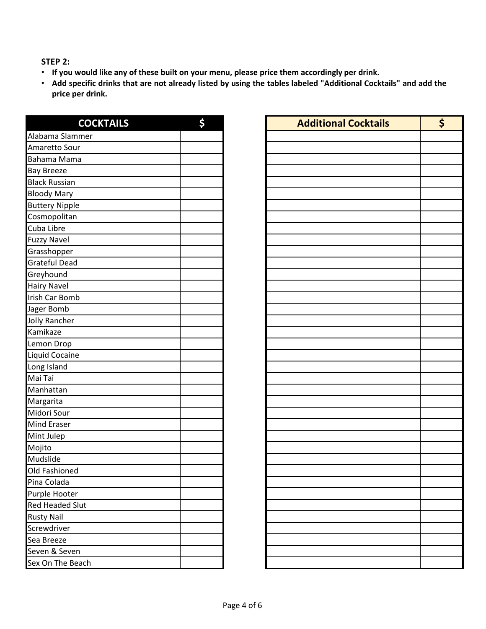**STEP 2:**

- **If you would like any of these built on your menu, please price them accordingly per drink.**
- Add specific drinks that are not already listed by using the tables labeled "Additional Cocktails" and add the **price per drink.**

| <b>COCKTAILS</b>       | \$ |
|------------------------|----|
| Alabama Slammer        |    |
| Amaretto Sour          |    |
| Bahama Mama            |    |
| <b>Bay Breeze</b>      |    |
| <b>Black Russian</b>   |    |
| <b>Bloody Mary</b>     |    |
| <b>Buttery Nipple</b>  |    |
| Cosmopolitan           |    |
| Cuba Libre             |    |
| <b>Fuzzy Navel</b>     |    |
| Grasshopper            |    |
| <b>Grateful Dead</b>   |    |
| Greyhound              |    |
| <b>Hairy Navel</b>     |    |
| Irish Car Bomb         |    |
| Jager Bomb             |    |
| <b>Jolly Rancher</b>   |    |
| Kamikaze               |    |
| Lemon Drop             |    |
| Liquid Cocaine         |    |
| Long Island            |    |
| Mai Tai                |    |
| Manhattan              |    |
| Margarita              |    |
| Midori Sour            |    |
| <b>Mind Eraser</b>     |    |
| Mint Julep             |    |
| Mojito                 |    |
| Mudslide               |    |
| Old Fashioned          |    |
| Pina Colada            |    |
| Purple Hooter          |    |
| <b>Red Headed Slut</b> |    |
| <b>Rusty Nail</b>      |    |
| Screwdriver            |    |
| Sea Breeze             |    |
| Seven & Seven          |    |
| Sex On The Beach       |    |

| <b>COCKTAILS</b> | \$ |
|------------------|----|
| mer              |    |
|                  |    |
| a                |    |
|                  |    |
|                  |    |
|                  |    |
|                  |    |
|                  |    |
|                  |    |
|                  |    |
|                  |    |
|                  |    |
|                  |    |
|                  |    |
|                  |    |
|                  |    |
|                  |    |
|                  |    |
|                  |    |
|                  |    |
|                  |    |
|                  |    |
|                  |    |
|                  |    |
|                  |    |
|                  |    |
|                  |    |
|                  |    |
|                  |    |
|                  |    |
|                  |    |
|                  |    |
|                  |    |
| ut               |    |
|                  |    |
|                  |    |
|                  |    |
| Ì.               |    |
| ach              |    |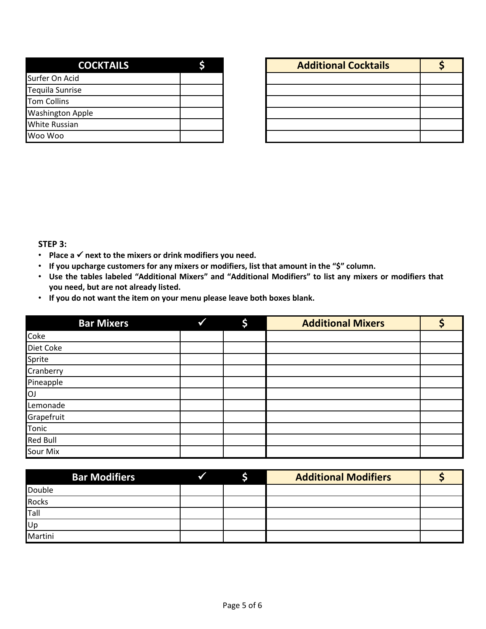| <b>COCKTAILS</b>        |  |
|-------------------------|--|
| Surfer On Acid          |  |
| <b>Tequila Sunrise</b>  |  |
| Tom Collins             |  |
| <b>Washington Apple</b> |  |
| <b>White Russian</b>    |  |
| Woo Woo                 |  |

| <b>COCKTAILS</b> |  | <b>Additional Cocktails</b> |  |
|------------------|--|-----------------------------|--|
|                  |  |                             |  |
|                  |  |                             |  |
|                  |  |                             |  |
| pple             |  |                             |  |
|                  |  |                             |  |
|                  |  |                             |  |

**STEP 3:**

- **Place a next to the mixers or drink modifiers you need.**
- **If you upcharge customers for any mixers or modifiers, list that amount in the "\$" column.**
- **Use the tables labeled "Additional Mixers" and "Additional Modifiers" to list any mixers or modifiers that you need, but are not already listed.**
- **If you do not want the item on your menu please leave both boxes blank.**

| <b>Bar Mixers</b> | \$ | <b>Additional Mixers</b> |  |
|-------------------|----|--------------------------|--|
| Coke              |    |                          |  |
| Diet Coke         |    |                          |  |
| Sprite            |    |                          |  |
| Cranberry         |    |                          |  |
| Pineapple         |    |                          |  |
| <b>OJ</b>         |    |                          |  |
| Lemonade          |    |                          |  |
| Grapefruit        |    |                          |  |
| Tonic             |    |                          |  |
| <b>Red Bull</b>   |    |                          |  |
| Sour Mix          |    |                          |  |

| <b>Bar Modifiers</b> |  | <b>Additional Modifiers</b> |  |
|----------------------|--|-----------------------------|--|
| Double               |  |                             |  |
| <b>Rocks</b>         |  |                             |  |
| Tall                 |  |                             |  |
| Up                   |  |                             |  |
| Martini              |  |                             |  |